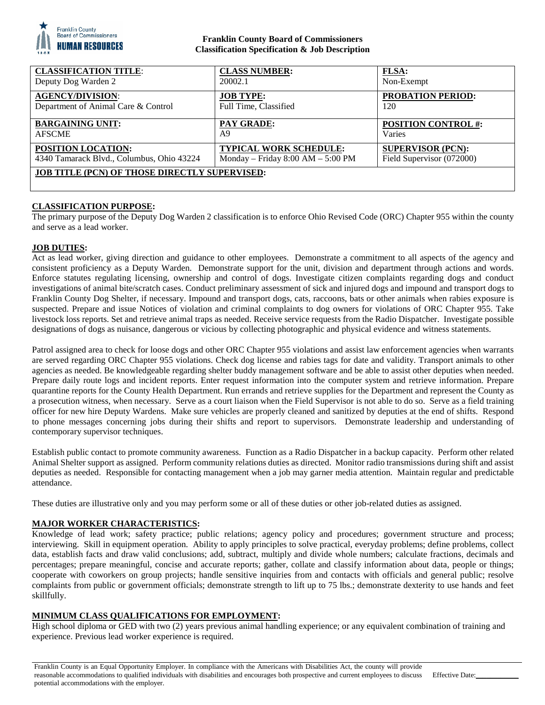

# **Franklin County Board of Commissioners Classification Specification & Job Description**

| <b>CLASSIFICATION TITLE:</b>                  | <b>CLASS NUMBER:</b>                | <b>FLSA:</b>               |
|-----------------------------------------------|-------------------------------------|----------------------------|
| Deputy Dog Warden 2                           | 20002.1                             | Non-Exempt                 |
| <b>AGENCY/DIVISION:</b>                       | <b>JOB TYPE:</b>                    | <b>PROBATION PERIOD:</b>   |
| Department of Animal Care & Control           | Full Time, Classified               | 120                        |
| <b>BARGAINING UNIT:</b>                       | <b>PAY GRADE:</b>                   | <b>POSITION CONTROL #:</b> |
| <b>AFSCME</b>                                 | A9                                  | Varies                     |
| <b>POSITION LOCATION:</b>                     | <b>TYPICAL WORK SCHEDULE:</b>       | <b>SUPERVISOR (PCN):</b>   |
| 4340 Tamarack Blvd., Columbus, Ohio 43224     | Monday – Friday $8:00 AM - 5:00 PM$ | Field Supervisor (072000)  |
| JOB TITLE (PCN) OF THOSE DIRECTLY SUPERVISED: |                                     |                            |

# **CLASSIFICATION PURPOSE:**

The primary purpose of the Deputy Dog Warden 2 classification is to enforce Ohio Revised Code (ORC) Chapter 955 within the county and serve as a lead worker.

# **JOB DUTIES:**

Act as lead worker, giving direction and guidance to other employees. Demonstrate a commitment to all aspects of the agency and consistent proficiency as a Deputy Warden. Demonstrate support for the unit, division and department through actions and words. Enforce statutes regulating licensing, ownership and control of dogs. Investigate citizen complaints regarding dogs and conduct investigations of animal bite/scratch cases. Conduct preliminary assessment of sick and injured dogs and impound and transport dogs to Franklin County Dog Shelter, if necessary. Impound and transport dogs, cats, raccoons, bats or other animals when rabies exposure is suspected. Prepare and issue Notices of violation and criminal complaints to dog owners for violations of ORC Chapter 955. Take livestock loss reports. Set and retrieve animal traps as needed. Receive service requests from the Radio Dispatcher. Investigate possible designations of dogs as nuisance, dangerous or vicious by collecting photographic and physical evidence and witness statements.

Patrol assigned area to check for loose dogs and other ORC Chapter 955 violations and assist law enforcement agencies when warrants are served regarding ORC Chapter 955 violations. Check dog license and rabies tags for date and validity. Transport animals to other agencies as needed. Be knowledgeable regarding shelter buddy management software and be able to assist other deputies when needed. Prepare daily route logs and incident reports. Enter request information into the computer system and retrieve information. Prepare quarantine reports for the County Health Department. Run errands and retrieve supplies for the Department and represent the County as a prosecution witness, when necessary. Serve as a court liaison when the Field Supervisor is not able to do so. Serve as a field training officer for new hire Deputy Wardens. Make sure vehicles are properly cleaned and sanitized by deputies at the end of shifts. Respond to phone messages concerning jobs during their shifts and report to supervisors. Demonstrate leadership and understanding of contemporary supervisor techniques.

Establish public contact to promote community awareness. Function as a Radio Dispatcher in a backup capacity. Perform other related Animal Shelter support as assigned. Perform community relations duties as directed. Monitor radio transmissions during shift and assist deputies as needed. Responsible for contacting management when a job may garner media attention. Maintain regular and predictable attendance.

These duties are illustrative only and you may perform some or all of these duties or other job-related duties as assigned.

# **MAJOR WORKER CHARACTERISTICS:**

Knowledge of lead work; safety practice; public relations; agency policy and procedures; government structure and process; interviewing. Skill in equipment operation. Ability to apply principles to solve practical, everyday problems; define problems, collect data, establish facts and draw valid conclusions; add, subtract, multiply and divide whole numbers; calculate fractions, decimals and percentages; prepare meaningful, concise and accurate reports; gather, collate and classify information about data, people or things; cooperate with coworkers on group projects; handle sensitive inquiries from and contacts with officials and general public; resolve complaints from public or government officials; demonstrate strength to lift up to 75 lbs.; demonstrate dexterity to use hands and feet skillfully.

# **MINIMUM CLASS QUALIFICATIONS FOR EMPLOYMENT:**

High school diploma or GED with two (2) years previous animal handling experience; or any equivalent combination of training and experience. Previous lead worker experience is required.

Franklin County is an Equal Opportunity Employer. In compliance with the Americans with Disabilities Act, the county will provide reasonable accommodations to qualified individuals with disabilities and encourages both prospective and current employees to discuss potential accommodations with the employer. Effective Date: